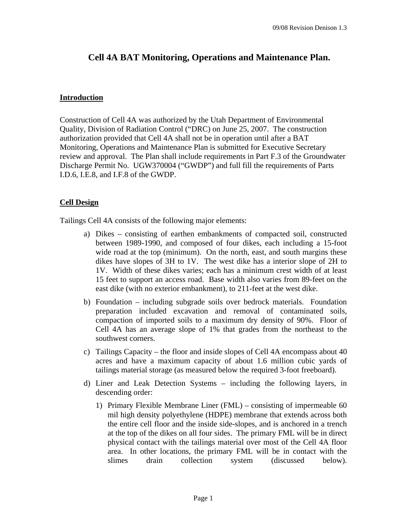# **Cell 4A BAT Monitoring, Operations and Maintenance Plan.**

## **Introduction**

Construction of Cell 4A was authorized by the Utah Department of Environmental Quality, Division of Radiation Control ("DRC) on June 25, 2007. The construction authorization provided that Cell 4A shall not be in operation until after a BAT Monitoring, Operations and Maintenance Plan is submitted for Executive Secretary review and approval. The Plan shall include requirements in Part F.3 of the Groundwater Discharge Permit No. UGW370004 ("GWDP") and full fill the requirements of Parts I.D.6, I.E.8, and I.F.8 of the GWDP.

# **Cell Design**

Tailings Cell 4A consists of the following major elements:

- a) Dikes consisting of earthen embankments of compacted soil, constructed between 1989-1990, and composed of four dikes, each including a 15-foot wide road at the top (minimum). On the north, east, and south margins these dikes have slopes of 3H to 1V. The west dike has a interior slope of 2H to 1V. Width of these dikes varies; each has a minimum crest width of at least 15 feet to support an access road. Base width also varies from 89-feet on the east dike (with no exterior embankment), to 211-feet at the west dike.
- b) Foundation including subgrade soils over bedrock materials. Foundation preparation included excavation and removal of contaminated soils, compaction of imported soils to a maximum dry density of 90%. Floor of Cell 4A has an average slope of 1% that grades from the northeast to the southwest corners.
- c) Tailings Capacity the floor and inside slopes of Cell 4A encompass about 40 acres and have a maximum capacity of about 1.6 million cubic yards of tailings material storage (as measured below the required 3-foot freeboard).
- d) Liner and Leak Detection Systems including the following layers, in descending order:
	- 1) Primary Flexible Membrane Liner (FML) consisting of impermeable 60 mil high density polyethylene (HDPE) membrane that extends across both the entire cell floor and the inside side-slopes, and is anchored in a trench at the top of the dikes on all four sides. The primary FML will be in direct physical contact with the tailings material over most of the Cell 4A floor area. In other locations, the primary FML will be in contact with the slimes drain collection system (discussed below).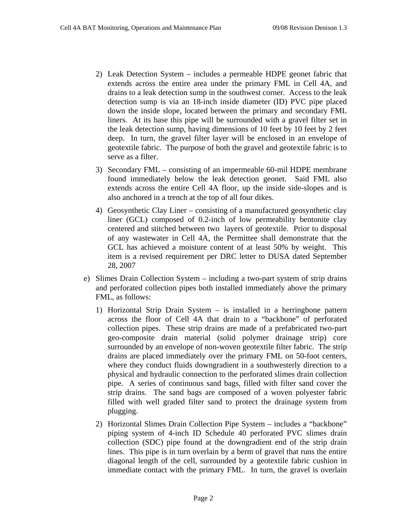- 2) Leak Detection System includes a permeable HDPE geonet fabric that extends across the entire area under the primary FML in Cell 4A, and drains to a leak detection sump in the southwest corner. Access to the leak detection sump is via an 18-inch inside diameter (ID) PVC pipe placed down the inside slope, located between the primary and secondary FML liners. At its base this pipe will be surrounded with a gravel filter set in the leak detection sump, having dimensions of 10 feet by 10 feet by 2 feet deep. In turn, the gravel filter layer will be enclosed in an envelope of geotextile fabric. The purpose of both the gravel and geotextile fabric is to serve as a filter.
- 3) Secondary FML consisting of an impermeable 60-mil HDPE membrane found immediately below the leak detection geonet. Said FML also extends across the entire Cell 4A floor, up the inside side-slopes and is also anchored in a trench at the top of all four dikes.
- 4) Geosynthetic Clay Liner consisting of a manufactured geosynthetic clay liner (GCL) composed of 0.2-inch of low permeability bentonite clay centered and stitched between two layers of geotextile. Prior to disposal of any wastewater in Cell 4A, the Permittee shall demonstrate that the GCL has achieved a moisture content of at least 50% by weight. This item is a revised requirement per DRC letter to DUSA dated September 28, 2007
- e) Slimes Drain Collection System including a two-part system of strip drains and perforated collection pipes both installed immediately above the primary FML, as follows:
	- 1) Horizontal Strip Drain System is installed in a herringbone pattern across the floor of Cell 4A that drain to a "backbone" of perforated collection pipes. These strip drains are made of a prefabricated two-part geo-composite drain material (solid polymer drainage strip) core surrounded by an envelope of non-woven geotextile filter fabric. The strip drains are placed immediately over the primary FML on 50-foot centers, where they conduct fluids downgradient in a southwesterly direction to a physical and hydraulic connection to the perforated slimes drain collection pipe. A series of continuous sand bags, filled with filter sand cover the strip drains. The sand bags are composed of a woven polyester fabric filled with well graded filter sand to protect the drainage system from plugging.
	- 2) Horizontal Slimes Drain Collection Pipe System includes a "backbone" piping system of 4-inch ID Schedule 40 perforated PVC slimes drain collection (SDC) pipe found at the downgradient end of the strip drain lines. This pipe is in turn overlain by a berm of gravel that runs the entire diagonal length of the cell, surrounded by a geotextile fabric cushion in immediate contact with the primary FML. In turn, the gravel is overlain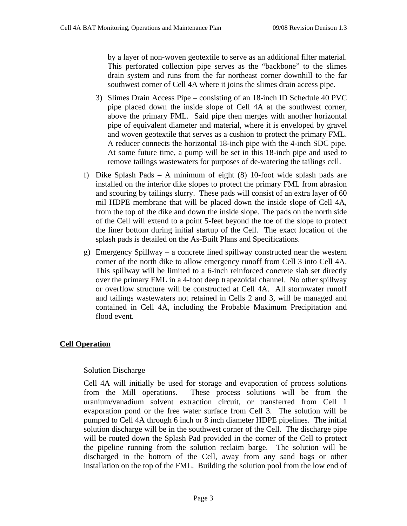by a layer of non-woven geotextile to serve as an additional filter material. This perforated collection pipe serves as the "backbone" to the slimes drain system and runs from the far northeast corner downhill to the far southwest corner of Cell 4A where it joins the slimes drain access pipe.

- 3) Slimes Drain Access Pipe consisting of an 18-inch ID Schedule 40 PVC pipe placed down the inside slope of Cell 4A at the southwest corner, above the primary FML. Said pipe then merges with another horizontal pipe of equivalent diameter and material, where it is enveloped by gravel and woven geotextile that serves as a cushion to protect the primary FML. A reducer connects the horizontal 18-inch pipe with the 4-inch SDC pipe. At some future time, a pump will be set in this 18-inch pipe and used to remove tailings wastewaters for purposes of de-watering the tailings cell.
- f) Dike Splash Pads A minimum of eight (8) 10-foot wide splash pads are installed on the interior dike slopes to protect the primary FML from abrasion and scouring by tailings slurry. These pads will consist of an extra layer of 60 mil HDPE membrane that will be placed down the inside slope of Cell 4A, from the top of the dike and down the inside slope. The pads on the north side of the Cell will extend to a point 5-feet beyond the toe of the slope to protect the liner bottom during initial startup of the Cell. The exact location of the splash pads is detailed on the As-Built Plans and Specifications.
- g) Emergency Spillway a concrete lined spillway constructed near the western corner of the north dike to allow emergency runoff from Cell 3 into Cell 4A. This spillway will be limited to a 6-inch reinforced concrete slab set directly over the primary FML in a 4-foot deep trapezoidal channel. No other spillway or overflow structure will be constructed at Cell 4A. All stormwater runoff and tailings wastewaters not retained in Cells 2 and 3, will be managed and contained in Cell 4A, including the Probable Maximum Precipitation and flood event.

# **Cell Operation**

# **Solution Discharge**

Cell 4A will initially be used for storage and evaporation of process solutions from the Mill operations. These process solutions will be from the uranium/vanadium solvent extraction circuit, or transferred from Cell 1 evaporation pond or the free water surface from Cell 3. The solution will be pumped to Cell 4A through 6 inch or 8 inch diameter HDPE pipelines. The initial solution discharge will be in the southwest corner of the Cell. The discharge pipe will be routed down the Splash Pad provided in the corner of the Cell to protect the pipeline running from the solution reclaim barge. The solution will be discharged in the bottom of the Cell, away from any sand bags or other installation on the top of the FML. Building the solution pool from the low end of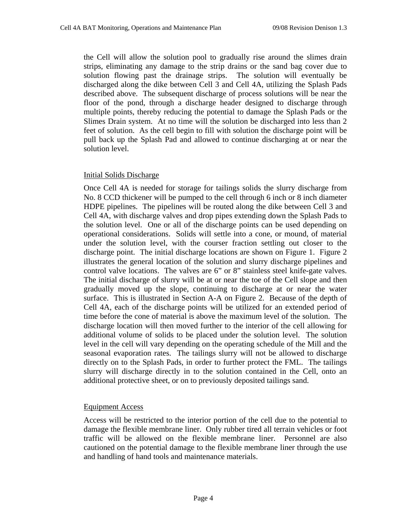the Cell will allow the solution pool to gradually rise around the slimes drain strips, eliminating any damage to the strip drains or the sand bag cover due to solution flowing past the drainage strips. The solution will eventually be discharged along the dike between Cell 3 and Cell 4A, utilizing the Splash Pads described above. The subsequent discharge of process solutions will be near the floor of the pond, through a discharge header designed to discharge through multiple points, thereby reducing the potential to damage the Splash Pads or the Slimes Drain system. At no time will the solution be discharged into less than 2 feet of solution. As the cell begin to fill with solution the discharge point will be pull back up the Splash Pad and allowed to continue discharging at or near the solution level.

## Initial Solids Discharge

Once Cell 4A is needed for storage for tailings solids the slurry discharge from No. 8 CCD thickener will be pumped to the cell through 6 inch or 8 inch diameter HDPE pipelines. The pipelines will be routed along the dike between Cell 3 and Cell 4A, with discharge valves and drop pipes extending down the Splash Pads to the solution level. One or all of the discharge points can be used depending on operational considerations. Solids will settle into a cone, or mound, of material under the solution level, with the courser fraction settling out closer to the discharge point. The initial discharge locations are shown on Figure 1. Figure 2 illustrates the general location of the solution and slurry discharge pipelines and control valve locations. The valves are 6" or 8" stainless steel knife-gate valves. The initial discharge of slurry will be at or near the toe of the Cell slope and then gradually moved up the slope, continuing to discharge at or near the water surface. This is illustrated in Section A-A on Figure 2. Because of the depth of Cell 4A, each of the discharge points will be utilized for an extended period of time before the cone of material is above the maximum level of the solution. The discharge location will then moved further to the interior of the cell allowing for additional volume of solids to be placed under the solution level. The solution level in the cell will vary depending on the operating schedule of the Mill and the seasonal evaporation rates. The tailings slurry will not be allowed to discharge directly on to the Splash Pads, in order to further protect the FML. The tailings slurry will discharge directly in to the solution contained in the Cell, onto an additional protective sheet, or on to previously deposited tailings sand.

#### Equipment Access

Access will be restricted to the interior portion of the cell due to the potential to damage the flexible membrane liner. Only rubber tired all terrain vehicles or foot traffic will be allowed on the flexible membrane liner. Personnel are also cautioned on the potential damage to the flexible membrane liner through the use and handling of hand tools and maintenance materials.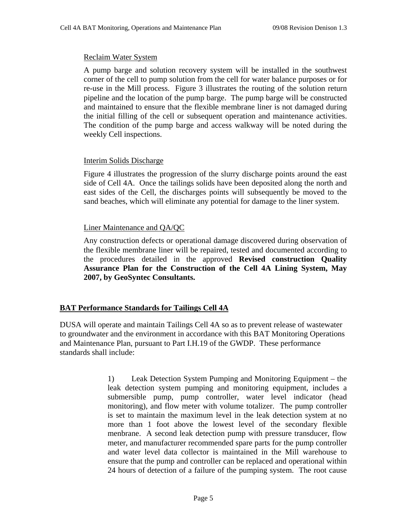#### Reclaim Water System

A pump barge and solution recovery system will be installed in the southwest corner of the cell to pump solution from the cell for water balance purposes or for re-use in the Mill process. Figure 3 illustrates the routing of the solution return pipeline and the location of the pump barge. The pump barge will be constructed and maintained to ensure that the flexible membrane liner is not damaged during the initial filling of the cell or subsequent operation and maintenance activities. The condition of the pump barge and access walkway will be noted during the weekly Cell inspections.

#### Interim Solids Discharge

Figure 4 illustrates the progression of the slurry discharge points around the east side of Cell 4A. Once the tailings solids have been deposited along the north and east sides of the Cell, the discharges points will subsequently be moved to the sand beaches, which will eliminate any potential for damage to the liner system.

## Liner Maintenance and QA/QC

Any construction defects or operational damage discovered during observation of the flexible membrane liner will be repaired, tested and documented according to the procedures detailed in the approved **Revised construction Quality Assurance Plan for the Construction of the Cell 4A Lining System, May 2007, by GeoSyntec Consultants.** 

#### **BAT Performance Standards for Tailings Cell 4A**

DUSA will operate and maintain Tailings Cell 4A so as to prevent release of wastewater to groundwater and the environment in accordance with this BAT Monitoring Operations and Maintenance Plan, pursuant to Part I.H.19 of the GWDP. These performance standards shall include:

> 1) Leak Detection System Pumping and Monitoring Equipment – the leak detection system pumping and monitoring equipment, includes a submersible pump, pump controller, water level indicator (head monitoring), and flow meter with volume totalizer. The pump controller is set to maintain the maximum level in the leak detection system at no more than 1 foot above the lowest level of the secondary flexible menbrane. A second leak detection pump with pressure transducer, flow meter, and manufacturer recommended spare parts for the pump controller and water level data collector is maintained in the Mill warehouse to ensure that the pump and controller can be replaced and operational within 24 hours of detection of a failure of the pumping system. The root cause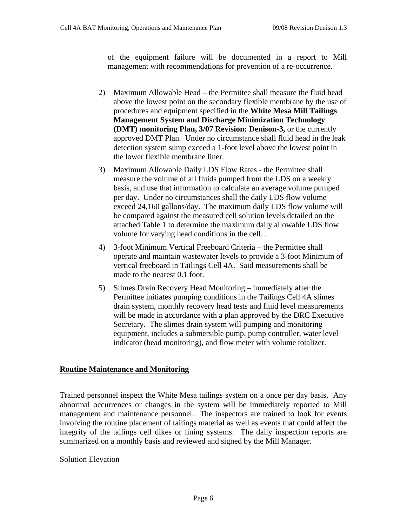of the equipment failure will be documented in a report to Mill management with recommendations for prevention of a re-occurrence.

- 2) Maximum Allowable Head the Permittee shall measure the fluid head above the lowest point on the secondary flexible membrane by the use of procedures and equipment specified in the **White Mesa Mill Tailings Management System and Discharge Minimization Technology (DMT) monitoring Plan, 3/07 Revision: Denison-3,** or the currently approved DMT Plan. Under no circumstance shall fluid head in the leak detection system sump exceed a 1-foot level above the lowest point in the lower flexible membrane liner.
- 3) Maximum Allowable Daily LDS Flow Rates the Permittee shall measure the volume of all fluids pumped from the LDS on a weekly basis, and use that information to calculate an average volume pumped per day. Under no circumstances shall the daily LDS flow volume exceed 24,160 gallons/day. The maximum daily LDS flow volume will be compared against the measured cell solution levels detailed on the attached Table 1 to determine the maximum daily allowable LDS flow volume for varying head conditions in the cell. .
- 4) 3-foot Minimum Vertical Freeboard Criteria the Permittee shall operate and maintain wastewater levels to provide a 3-foot Minimum of vertical freeboard in Tailings Cell 4A. Said measurements shall be made to the nearest 0.1 foot.
- 5) Slimes Drain Recovery Head Monitoring immediately after the Permittee initiates pumping conditions in the Tailings Cell 4A slimes drain system, monthly recovery head tests and fluid level measurements will be made in accordance with a plan approved by the DRC Executive Secretary. The slimes drain system will pumping and monitoring equipment, includes a submersible pump, pump controller, water level indicator (head monitoring), and flow meter with volume totalizer.

# **Routine Maintenance and Monitoring**

Trained personnel inspect the White Mesa tailings system on a once per day basis. Any abnormal occurrences or changes in the system will be immediately reported to Mill management and maintenance personnel. The inspectors are trained to look for events involving the routine placement of tailings material as well as events that could affect the integrity of the tailings cell dikes or lining systems. The daily inspection reports are summarized on a monthly basis and reviewed and signed by the Mill Manager.

# **Solution Elevation**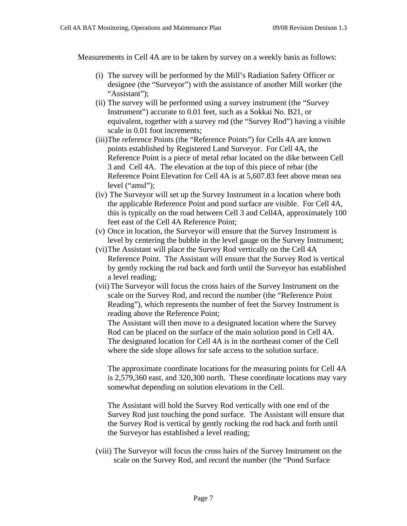Measurements in Cell 4A are to be taken by survey on a weekly basis as follows:

- (i) The survey will be performed by the Mill's Radiation Safety Officer or designee (the "Surveyor") with the assistance of another Mill worker (the "Assistant":
- (ii) The survey will be performed using a survey instrument (the "Survey Instrument") accurate to 0.01 feet, such as a Sokkai No. B21, or equivalent, together with a survey rod (the "Survey Rod") having a visible scale in 0.01 foot increments;
- (iii)The reference Points (the "Reference Points") for Cells 4A are known points established by Registered Land Surveyor. For Cell 4A, the Reference Point is a piece of metal rebar located on the dike between Cell 3 and Cell 4A. The elevation at the top of this piece of rebar (the Reference Point Elevation for Cell 4A is at 5,607.83 feet above mean sea level ("amsl");
- (iv) The Surveyor will set up the Survey Instrument in a location where both the applicable Reference Point and pond surface are visible. For Cell 4A, this is typically on the road between Cell 3 and Cell4A, approximately 100 feet east of the Cell 4A Reference Point;
- (v) Once in location, the Surveyor will ensure that the Survey Instrument is level by centering the bubble in the level gauge on the Survey Instrument;
- (vi)The Assistant will place the Survey Rod vertically on the Cell 4A Reference Point. The Assistant will ensure that the Survey Rod is vertical by gently rocking the rod back and forth until the Surveyor has established a level reading;
- (vii)The Surveyor will focus the cross hairs of the Survey Instrument on the scale on the Survey Rod, and record the number (the "Reference Point Reading"), which represents the number of feet the Survey Instrument is reading above the Reference Point;

The Assistant will then move to a designated location where the Survey Rod can be placed on the surface of the main solution pond in Cell 4A. The designated location for Cell 4A is in the northeast corner of the Cell where the side slope allows for safe access to the solution surface.

The approximate coordinate locations for the measuring points for Cell 4A is 2,579,360 east, and 320,300 north. These coordinate locations may vary somewhat depending on solution elevations in the Cell.

The Assistant will hold the Survey Rod vertically with one end of the Survey Rod just touching the pond surface. The Assistant will ensure that the Survey Rod is vertical by gently rocking the rod back and forth until the Surveyor has established a level reading;

(viii) The Surveyor will focus the cross hairs of the Survey Instrument on the scale on the Survey Rod, and record the number (the "Pond Surface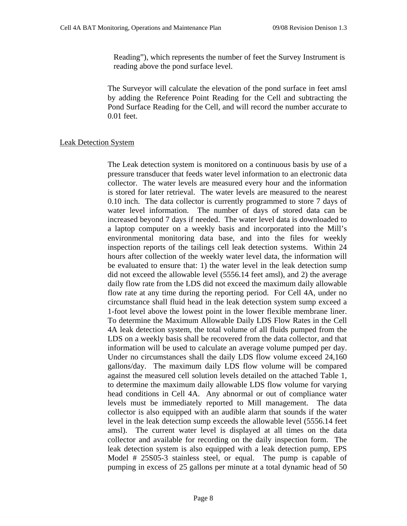Reading"), which represents the number of feet the Survey Instrument is reading above the pond surface level.

The Surveyor will calculate the elevation of the pond surface in feet amsl by adding the Reference Point Reading for the Cell and subtracting the Pond Surface Reading for the Cell, and will record the number accurate to 0.01 feet.

## Leak Detection System

The Leak detection system is monitored on a continuous basis by use of a pressure transducer that feeds water level information to an electronic data collector. The water levels are measured every hour and the information is stored for later retrieval. The water levels are measured to the nearest 0.10 inch. The data collector is currently programmed to store 7 days of water level information. The number of days of stored data can be increased beyond 7 days if needed. The water level data is downloaded to a laptop computer on a weekly basis and incorporated into the Mill's environmental monitoring data base, and into the files for weekly inspection reports of the tailings cell leak detection systems. Within 24 hours after collection of the weekly water level data, the information will be evaluated to ensure that: 1) the water level in the leak detection sump did not exceed the allowable level (5556.14 feet amsl), and 2) the average daily flow rate from the LDS did not exceed the maximum daily allowable flow rate at any time during the reporting period. For Cell 4A, under no circumstance shall fluid head in the leak detection system sump exceed a 1-foot level above the lowest point in the lower flexible membrane liner. To determine the Maximum Allowable Daily LDS Flow Rates in the Cell 4A leak detection system, the total volume of all fluids pumped from the LDS on a weekly basis shall be recovered from the data collector, and that information will be used to calculate an average volume pumped per day. Under no circumstances shall the daily LDS flow volume exceed 24,160 gallons/day. The maximum daily LDS flow volume will be compared against the measured cell solution levels detailed on the attached Table 1, to determine the maximum daily allowable LDS flow volume for varying head conditions in Cell 4A. Any abnormal or out of compliance water levels must be immediately reported to Mill management. The data collector is also equipped with an audible alarm that sounds if the water level in the leak detection sump exceeds the allowable level (5556.14 feet amsl). The current water level is displayed at all times on the data collector and available for recording on the daily inspection form. The leak detection system is also equipped with a leak detection pump, EPS Model # 25S05-3 stainless steel, or equal. The pump is capable of pumping in excess of 25 gallons per minute at a total dynamic head of 50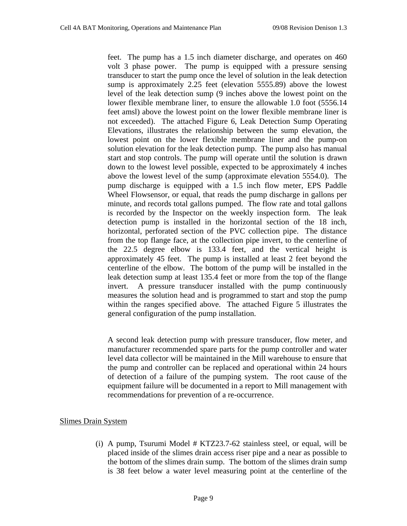feet. The pump has a 1.5 inch diameter discharge, and operates on 460 volt 3 phase power. The pump is equipped with a pressure sensing transducer to start the pump once the level of solution in the leak detection sump is approximately 2.25 feet (elevation 5555.89) above the lowest level of the leak detection sump (9 inches above the lowest point on the lower flexible membrane liner, to ensure the allowable 1.0 foot (5556.14 feet amsl) above the lowest point on the lower flexible membrane liner is not exceeded). The attached Figure 6, Leak Detection Sump Operating Elevations, illustrates the relationship between the sump elevation, the lowest point on the lower flexible membrane liner and the pump-on solution elevation for the leak detection pump. The pump also has manual start and stop controls. The pump will operate until the solution is drawn down to the lowest level possible, expected to be approximately 4 inches above the lowest level of the sump (approximate elevation 5554.0). The pump discharge is equipped with a 1.5 inch flow meter, EPS Paddle Wheel Flowsensor, or equal, that reads the pump discharge in gallons per minute, and records total gallons pumped. The flow rate and total gallons is recorded by the Inspector on the weekly inspection form. The leak detection pump is installed in the horizontal section of the 18 inch, horizontal, perforated section of the PVC collection pipe. The distance from the top flange face, at the collection pipe invert, to the centerline of the 22.5 degree elbow is 133.4 feet, and the vertical height is approximately 45 feet. The pump is installed at least 2 feet beyond the centerline of the elbow. The bottom of the pump will be installed in the leak detection sump at least 135.4 feet or more from the top of the flange invert. A pressure transducer installed with the pump continuously measures the solution head and is programmed to start and stop the pump within the ranges specified above. The attached Figure 5 illustrates the general configuration of the pump installation.

A second leak detection pump with pressure transducer, flow meter, and manufacturer recommended spare parts for the pump controller and water level data collector will be maintained in the Mill warehouse to ensure that the pump and controller can be replaced and operational within 24 hours of detection of a failure of the pumping system. The root cause of the equipment failure will be documented in a report to Mill management with recommendations for prevention of a re-occurrence.

#### Slimes Drain System

(i) A pump, Tsurumi Model # KTZ23.7-62 stainless steel, or equal, will be placed inside of the slimes drain access riser pipe and a near as possible to the bottom of the slimes drain sump. The bottom of the slimes drain sump is 38 feet below a water level measuring point at the centerline of the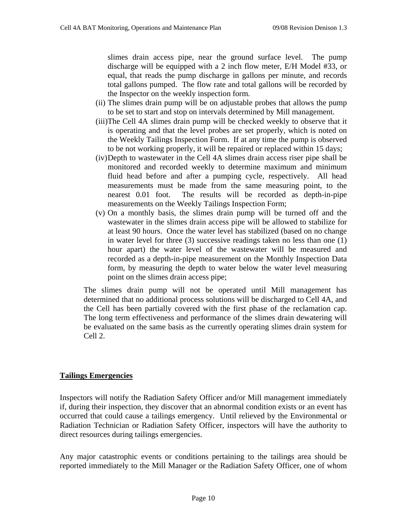slimes drain access pipe, near the ground surface level. The pump discharge will be equipped with a 2 inch flow meter, E/H Model #33, or equal, that reads the pump discharge in gallons per minute, and records total gallons pumped. The flow rate and total gallons will be recorded by the Inspector on the weekly inspection form.

- (ii) The slimes drain pump will be on adjustable probes that allows the pump to be set to start and stop on intervals determined by Mill management.
- (iii)The Cell 4A slimes drain pump will be checked weekly to observe that it is operating and that the level probes are set properly, which is noted on the Weekly Tailings Inspection Form. If at any time the pump is observed to be not working properly, it will be repaired or replaced within 15 days;
- (iv)Depth to wastewater in the Cell 4A slimes drain access riser pipe shall be monitored and recorded weekly to determine maximum and minimum fluid head before and after a pumping cycle, respectively. All head measurements must be made from the same measuring point, to the nearest 0.01 foot. The results will be recorded as depth-in-pipe measurements on the Weekly Tailings Inspection Form;
- (v) On a monthly basis, the slimes drain pump will be turned off and the wastewater in the slimes drain access pipe will be allowed to stabilize for at least 90 hours. Once the water level has stabilized (based on no change in water level for three (3) successive readings taken no less than one (1) hour apart) the water level of the wastewater will be measured and recorded as a depth-in-pipe measurement on the Monthly Inspection Data form, by measuring the depth to water below the water level measuring point on the slimes drain access pipe;

The slimes drain pump will not be operated until Mill management has determined that no additional process solutions will be discharged to Cell 4A, and the Cell has been partially covered with the first phase of the reclamation cap. The long term effectiveness and performance of the slimes drain dewatering will be evaluated on the same basis as the currently operating slimes drain system for Cell 2.

# **Tailings Emergencies**

Inspectors will notify the Radiation Safety Officer and/or Mill management immediately if, during their inspection, they discover that an abnormal condition exists or an event has occurred that could cause a tailings emergency. Until relieved by the Environmental or Radiation Technician or Radiation Safety Officer, inspectors will have the authority to direct resources during tailings emergencies.

Any major catastrophic events or conditions pertaining to the tailings area should be reported immediately to the Mill Manager or the Radiation Safety Officer, one of whom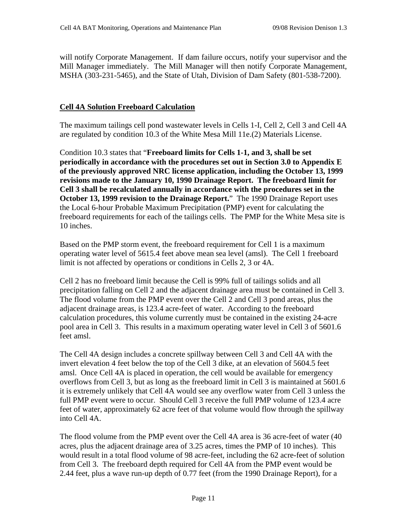will notify Corporate Management. If dam failure occurs, notify your supervisor and the Mill Manager immediately. The Mill Manager will then notify Corporate Management, MSHA (303-231-5465), and the State of Utah, Division of Dam Safety (801-538-7200).

## **Cell 4A Solution Freeboard Calculation**

The maximum tailings cell pond wastewater levels in Cells 1-I, Cell 2, Cell 3 and Cell 4A are regulated by condition 10.3 of the White Mesa Mill 11e.(2) Materials License.

Condition 10.3 states that "**Freeboard limits for Cells 1-1, and 3, shall be set periodically in accordance with the procedures set out in Section 3.0 to Appendix E of the previously approved NRC license application, including the October 13, 1999 revisions made to the January 10, 1990 Drainage Report. The freeboard limit for Cell 3 shall be recalculated annually in accordance with the procedures set in the October 13, 1999 revision to the Drainage Report.**" The 1990 Drainage Report uses the Local 6-hour Probable Maximum Precipitation (PMP) event for calculating the freeboard requirements for each of the tailings cells. The PMP for the White Mesa site is 10 inches.

Based on the PMP storm event, the freeboard requirement for Cell 1 is a maximum operating water level of 5615.4 feet above mean sea level (amsl). The Cell 1 freeboard limit is not affected by operations or conditions in Cells 2, 3 or 4A.

Cell 2 has no freeboard limit because the Cell is 99% full of tailings solids and all precipitation falling on Cell 2 and the adjacent drainage area must be contained in Cell 3. The flood volume from the PMP event over the Cell 2 and Cell 3 pond areas, plus the adjacent drainage areas, is 123.4 acre-feet of water. According to the freeboard calculation procedures, this volume currently must be contained in the existing 24-acre pool area in Cell 3. This results in a maximum operating water level in Cell 3 of 5601.6 feet amsl.

The Cell 4A design includes a concrete spillway between Cell 3 and Cell 4A with the invert elevation 4 feet below the top of the Cell 3 dike, at an elevation of 5604.5 feet amsl. Once Cell 4A is placed in operation, the cell would be available for emergency overflows from Cell 3, but as long as the freeboard limit in Cell 3 is maintained at 5601.6 it is extremely unlikely that Cell 4A would see any overflow water from Cell 3 unless the full PMP event were to occur. Should Cell 3 receive the full PMP volume of 123.4 acre feet of water, approximately 62 acre feet of that volume would flow through the spillway into Cell 4A.

The flood volume from the PMP event over the Cell 4A area is 36 acre-feet of water (40 acres, plus the adjacent drainage area of 3.25 acres, times the PMP of 10 inches). This would result in a total flood volume of 98 acre-feet, including the 62 acre-feet of solution from Cell 3. The freeboard depth required for Cell 4A from the PMP event would be 2.44 feet, plus a wave run-up depth of 0.77 feet (from the 1990 Drainage Report), for a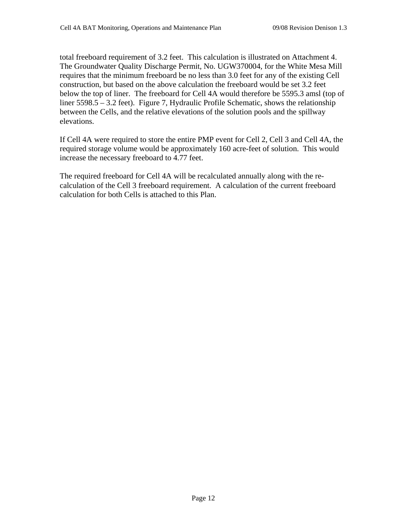total freeboard requirement of 3.2 feet. This calculation is illustrated on Attachment 4. The Groundwater Quality Discharge Permit, No. UGW370004, for the White Mesa Mill requires that the minimum freeboard be no less than 3.0 feet for any of the existing Cell construction, but based on the above calculation the freeboard would be set 3.2 feet below the top of liner. The freeboard for Cell 4A would therefore be 5595.3 amsl (top of liner 5598.5 – 3.2 feet). Figure 7, Hydraulic Profile Schematic, shows the relationship between the Cells, and the relative elevations of the solution pools and the spillway elevations.

If Cell 4A were required to store the entire PMP event for Cell 2, Cell 3 and Cell 4A, the required storage volume would be approximately 160 acre-feet of solution. This would increase the necessary freeboard to 4.77 feet.

The required freeboard for Cell 4A will be recalculated annually along with the recalculation of the Cell 3 freeboard requirement. A calculation of the current freeboard calculation for both Cells is attached to this Plan.